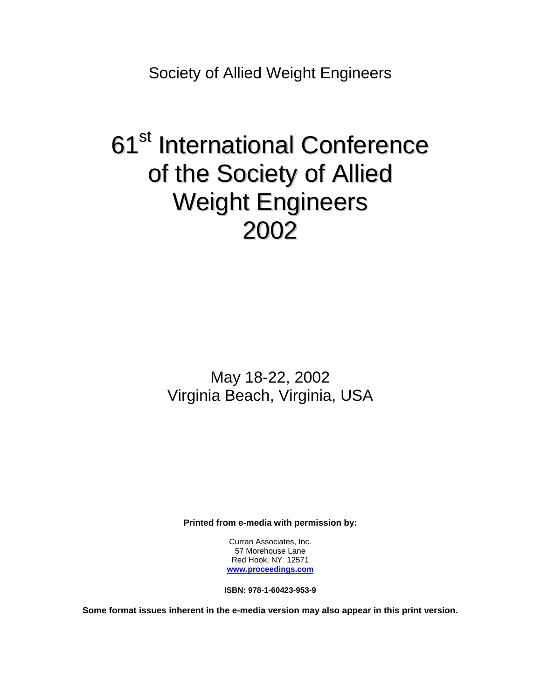Society of Allied Weight Engineers

# 61<sup>st</sup> International Conference of the Society of Allied Weight Engineers 2002

May 18-22, 2002 Virginia Beach, Virginia, USA

**Printed from e-media with permission by:** 

Curran Associates, Inc. 57 Morehouse Lane Red Hook, NY 12571 **[www.proceedings.com](http://www.proceedings.com/)**

**ISBN: 978-1-60423-953-9** 

**Some format issues inherent in the e-media version may also appear in this print version.**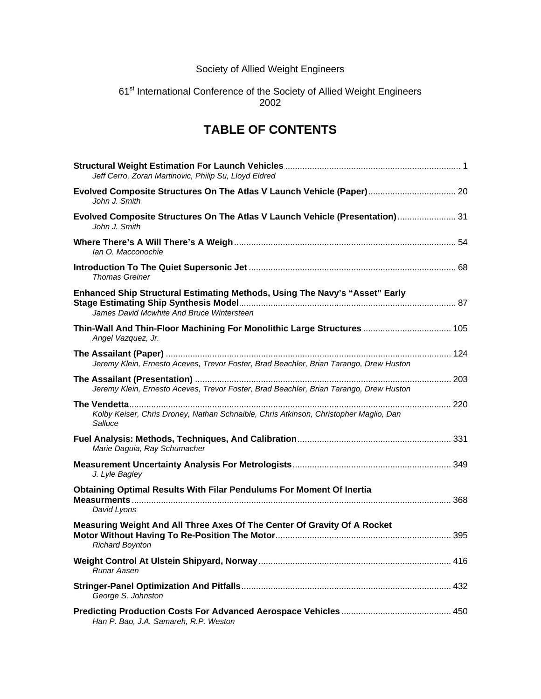## Society of Allied Weight Engineers

#### 61<sup>st</sup> International Conference of the Society of Allied Weight Engineers 2002

# **TABLE OF CONTENTS**

| Jeff Cerro, Zoran Martinovic, Philip Su, Lloyd Eldred                                                                    |  |
|--------------------------------------------------------------------------------------------------------------------------|--|
| Evolved Composite Structures On The Atlas V Launch Vehicle (Paper) 20<br>John J. Smith                                   |  |
| Evolved Composite Structures On The Atlas V Launch Vehicle (Presentation) 31<br>John J. Smith                            |  |
| lan O. Macconochie                                                                                                       |  |
| Thomas Greiner                                                                                                           |  |
| Enhanced Ship Structural Estimating Methods, Using The Navy's "Asset" Early<br>James David Mcwhite And Bruce Wintersteen |  |
| Thin-Wall And Thin-Floor Machining For Monolithic Large Structures  105<br>Angel Vazquez, Jr.                            |  |
| Jeremy Klein, Ernesto Aceves, Trevor Foster, Brad Beachler, Brian Tarango, Drew Huston                                   |  |
| Jeremy Klein, Ernesto Aceves, Trevor Foster, Brad Beachler, Brian Tarango, Drew Huston                                   |  |
| Kolby Keiser, Chris Droney, Nathan Schnaible, Chris Atkinson, Christopher Maglio, Dan<br>Salluce                         |  |
| Marie Daguia, Ray Schumacher                                                                                             |  |
| J. Lyle Bagley                                                                                                           |  |
| Obtaining Optimal Results With Filar Pendulums For Moment Of Inertia<br>David Lyons                                      |  |
| Measuring Weight And All Three Axes Of The Center Of Gravity Of A Rocket<br><b>Richard Boynton</b>                       |  |
| Runar Aasen                                                                                                              |  |
| George S. Johnston                                                                                                       |  |
| Han P. Bao, J.A. Samareh, R.P. Weston                                                                                    |  |